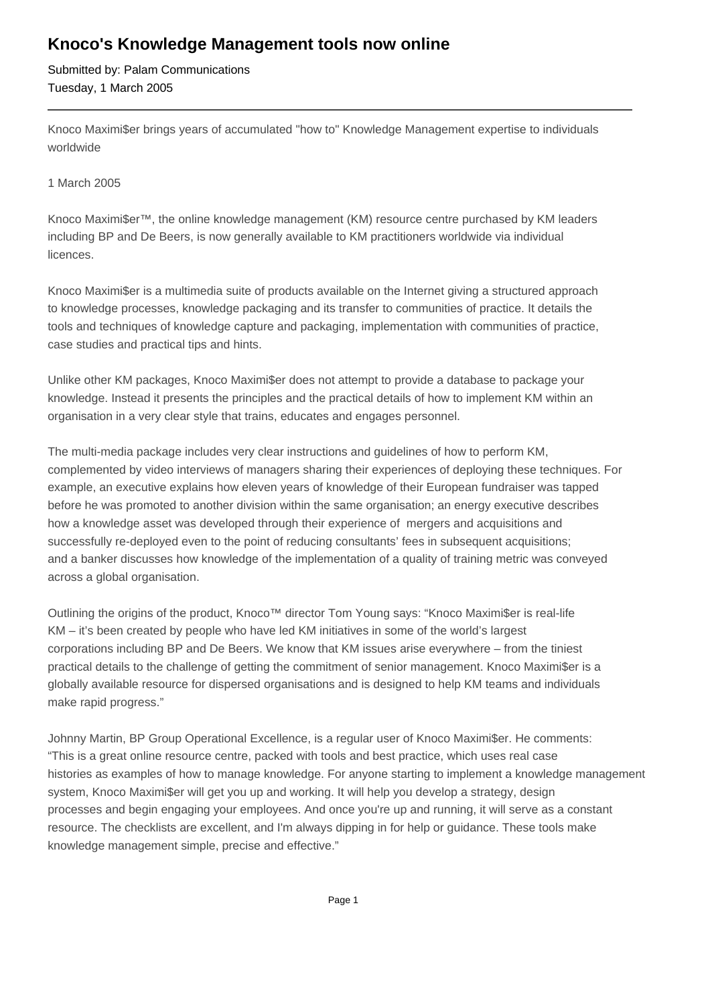## **Knoco's Knowledge Management tools now online**

Submitted by: Palam Communications Tuesday, 1 March 2005

Knoco Maximi\$er brings years of accumulated "how to" Knowledge Management expertise to individuals worldwide

## 1 March 2005

Knoco Maximi\$er™, the online knowledge management (KM) resource centre purchased by KM leaders including BP and De Beers, is now generally available to KM practitioners worldwide via individual licences.

Knoco Maximi\$er is a multimedia suite of products available on the Internet giving a structured approach to knowledge processes, knowledge packaging and its transfer to communities of practice. It details the tools and techniques of knowledge capture and packaging, implementation with communities of practice, case studies and practical tips and hints.

Unlike other KM packages, Knoco Maximi\$er does not attempt to provide a database to package your knowledge. Instead it presents the principles and the practical details of how to implement KM within an organisation in a very clear style that trains, educates and engages personnel.

The multi-media package includes very clear instructions and guidelines of how to perform KM, complemented by video interviews of managers sharing their experiences of deploying these techniques. For example, an executive explains how eleven years of knowledge of their European fundraiser was tapped before he was promoted to another division within the same organisation; an energy executive describes how a knowledge asset was developed through their experience of mergers and acquisitions and successfully re-deployed even to the point of reducing consultants' fees in subsequent acquisitions; and a banker discusses how knowledge of the implementation of a quality of training metric was conveyed across a global organisation.

Outlining the origins of the product, Knoco™ director Tom Young says: "Knoco Maximi\$er is real-life KM – it's been created by people who have led KM initiatives in some of the world's largest corporations including BP and De Beers. We know that KM issues arise everywhere – from the tiniest practical details to the challenge of getting the commitment of senior management. Knoco Maximi\$er is a globally available resource for dispersed organisations and is designed to help KM teams and individuals make rapid progress."

Johnny Martin, BP Group Operational Excellence, is a regular user of Knoco Maximi\$er. He comments: "This is a great online resource centre, packed with tools and best practice, which uses real case histories as examples of how to manage knowledge. For anyone starting to implement a knowledge management system, Knoco Maximi\$er will get you up and working. It will help you develop a strategy, design processes and begin engaging your employees. And once you're up and running, it will serve as a constant resource. The checklists are excellent, and I'm always dipping in for help or guidance. These tools make knowledge management simple, precise and effective."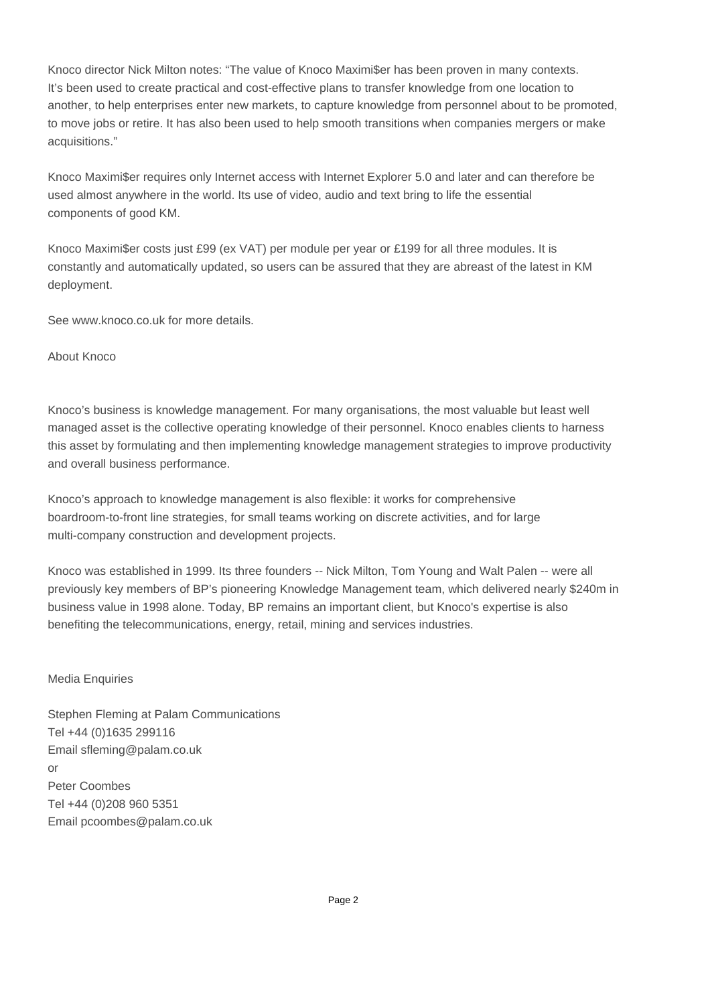Knoco director Nick Milton notes: "The value of Knoco Maximi\$er has been proven in many contexts. It's been used to create practical and cost-effective plans to transfer knowledge from one location to another, to help enterprises enter new markets, to capture knowledge from personnel about to be promoted, to move jobs or retire. It has also been used to help smooth transitions when companies mergers or make acquisitions."

Knoco Maximi\$er requires only Internet access with Internet Explorer 5.0 and later and can therefore be used almost anywhere in the world. Its use of video, audio and text bring to life the essential components of good KM.

Knoco Maximi\$er costs just £99 (ex VAT) per module per year or £199 for all three modules. It is constantly and automatically updated, so users can be assured that they are abreast of the latest in KM deployment.

See www.knoco.co.uk for more details.

About Knoco

Knoco's business is knowledge management. For many organisations, the most valuable but least well managed asset is the collective operating knowledge of their personnel. Knoco enables clients to harness this asset by formulating and then implementing knowledge management strategies to improve productivity and overall business performance.

Knoco's approach to knowledge management is also flexible: it works for comprehensive boardroom-to-front line strategies, for small teams working on discrete activities, and for large multi-company construction and development projects.

Knoco was established in 1999. Its three founders -- Nick Milton, Tom Young and Walt Palen -- were all previously key members of BP's pioneering Knowledge Management team, which delivered nearly \$240m in business value in 1998 alone. Today, BP remains an important client, but Knoco's expertise is also benefiting the telecommunications, energy, retail, mining and services industries.

## Media Enquiries

Stephen Fleming at Palam Communications Tel +44 (0)1635 299116 Email sfleming@palam.co.uk or Peter Coombes Tel +44 (0)208 960 5351 Email pcoombes@palam.co.uk